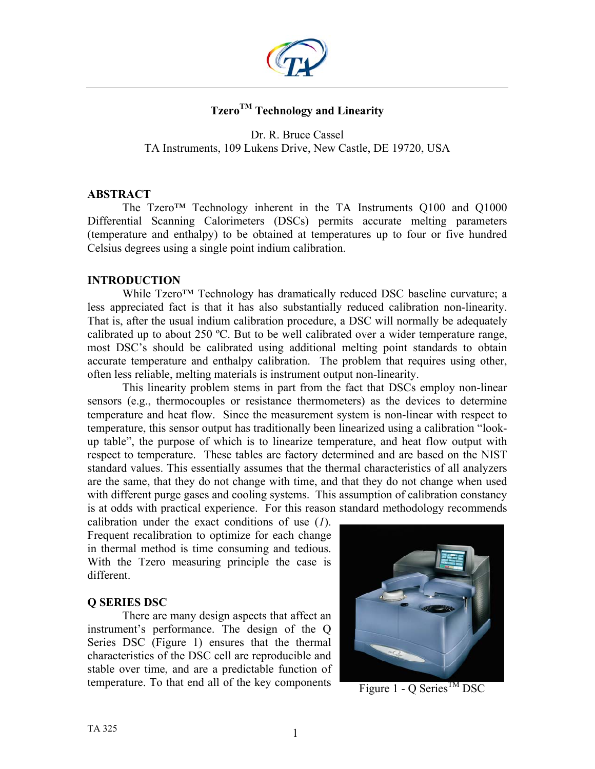

# Tzero<sup>TM</sup> Technology and Linearity

Dr. R. Bruce Cassel TA Instruments, 109 Lukens Drive, New Castle, DE 19720, USA

### **ABSTRACT**

The Tzero<sup>™</sup> Technology inherent in the TA Instruments Q100 and Q1000 Differential Scanning Calorimeters (DSCs) permits accurate melting parameters (temperature and enthalpy) to be obtained at temperatures up to four or five hundred Celsius degrees using a single point indium calibration.

### **INTRODUCTION**

While Tzero<sup>™</sup> Technology has dramatically reduced DSC baseline curvature; a less appreciated fact is that it has also substantially reduced calibration non-linearity. That is, after the usual indium calibration procedure, a DSC will normally be adequately calibrated up to about 250 ºC. But to be well calibrated over a wider temperature range, most DSC's should be calibrated using additional melting point standards to obtain accurate temperature and enthalpy calibration. The problem that requires using other, often less reliable, melting materials is instrument output non-linearity.

This linearity problem stems in part from the fact that DSCs employ non-linear sensors (e.g., thermocouples or resistance thermometers) as the devices to determine temperature and heat flow. Since the measurement system is non-linear with respect to temperature, this sensor output has traditionally been linearized using a calibration "lookup table", the purpose of which is to linearize temperature, and heat flow output with respect to temperature. These tables are factory determined and are based on the NIST standard values. This essentially assumes that the thermal characteristics of all analyzers are the same, that they do not change with time, and that they do not change when used with different purge gases and cooling systems. This assumption of calibration constancy is at odds with practical experience. For this reason standard methodology recommends

calibration under the exact conditions of use (*1*). Frequent recalibration to optimize for each change in thermal method is time consuming and tedious. With the Tzero measuring principle the case is different.

### **Q SERIES DSC**

There are many design aspects that affect an instrument's performance. The design of the Q Series DSC (Figure 1) ensures that the thermal characteristics of the DSC cell are reproducible and stable over time, and are a predictable function of temperature. To that end all of the key components



Figure 1 - Q Series<sup>TM</sup> DSC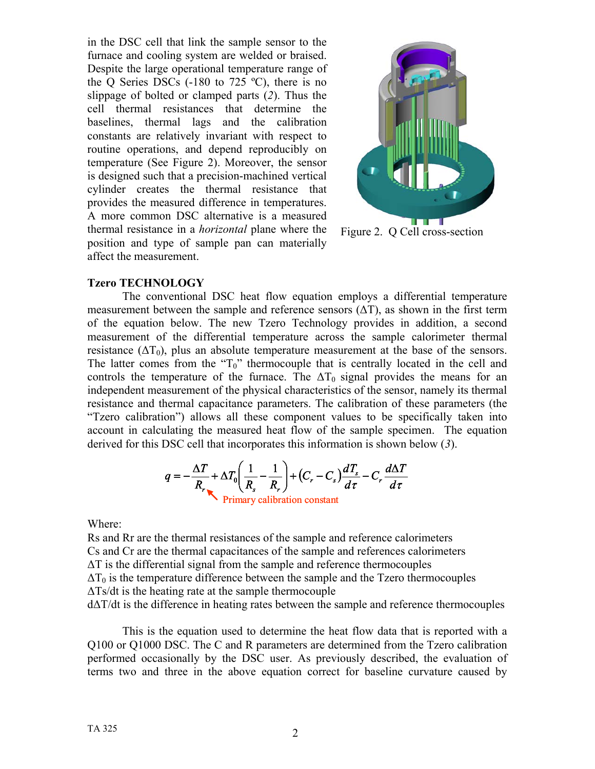in the DSC cell that link the sample sensor to the furnace and cooling system are welded or braised. Despite the large operational temperature range of the Q Series DSCs  $(-180 \text{ to } 725 \text{ °C})$ , there is no slippage of bolted or clamped parts (*2*). Thus the cell thermal resistances that determine the baselines, thermal lags and the calibration constants are relatively invariant with respect to routine operations, and depend reproducibly on temperature (See Figure 2). Moreover, the sensor is designed such that a precision-machined vertical cylinder creates the thermal resistance that provides the measured difference in temperatures. A more common DSC alternative is a measured thermal resistance in a *horizontal* plane where the position and type of sample pan can materially affect the measurement.



Figure 2. Q Cell cross-section

### **Tzero TECHNOLOGY**

The conventional DSC heat flow equation employs a differential temperature measurement between the sample and reference sensors  $(\Delta T)$ , as shown in the first term of the equation below. The new Tzero Technology provides in addition, a second measurement of the differential temperature across the sample calorimeter thermal resistance ( $\Delta T_0$ ), plus an absolute temperature measurement at the base of the sensors. The latter comes from the " $T_0$ " thermocouple that is centrally located in the cell and controls the temperature of the furnace. The  $\Delta T_0$  signal provides the means for an independent measurement of the physical characteristics of the sensor, namely its thermal resistance and thermal capacitance parameters. The calibration of these parameters (the "Tzero calibration") allows all these component values to be specifically taken into account in calculating the measured heat flow of the sample specimen. The equation derived for this DSC cell that incorporates this information is shown below (*3*).

$$
q = -\frac{\Delta T}{R_r} + \Delta T_0 \left(\frac{1}{R_s} - \frac{1}{R_r}\right) + (C_r - C_s) \frac{dT_s}{d\tau} - C_r \frac{d\Delta T}{d\tau}
$$
  
Primary calibration constant

Where:

Rs and Rr are the thermal resistances of the sample and reference calorimeters Cs and Cr are the thermal capacitances of the sample and references calorimeters ∆T is the differential signal from the sample and reference thermocouples  $\Delta T_0$  is the temperature difference between the sample and the Tzero thermocouples ∆Ts/dt is the heating rate at the sample thermocouple d∆T/dt is the difference in heating rates between the sample and reference thermocouples

This is the equation used to determine the heat flow data that is reported with a Q100 or Q1000 DSC. The C and R parameters are determined from the Tzero calibration performed occasionally by the DSC user. As previously described, the evaluation of terms two and three in the above equation correct for baseline curvature caused by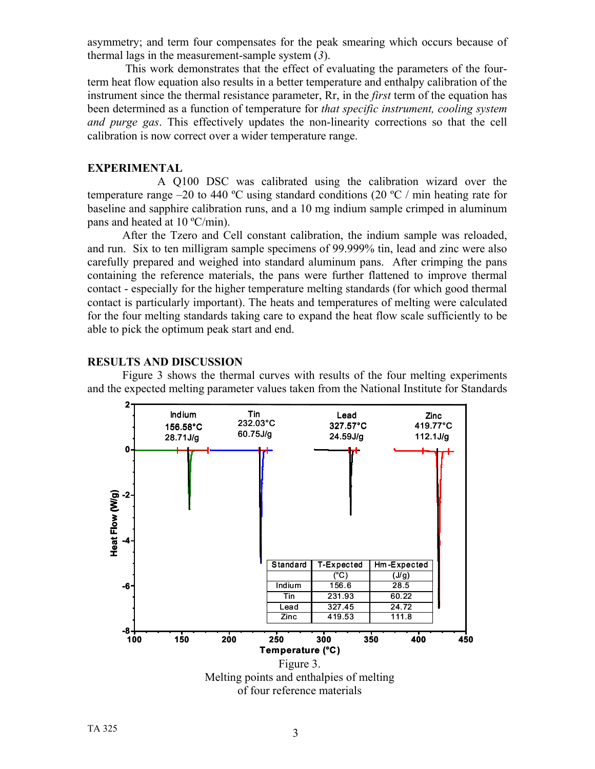asymmetry; and term four compensates for the peak smearing which occurs because of thermal lags in the measurement-sample system (*3*).

This work demonstrates that the effect of evaluating the parameters of the fourterm heat flow equation also results in a better temperature and enthalpy calibration of the instrument since the thermal resistance parameter, Rr, in the *first* term of the equation has been determined as a function of temperature for *that specific instrument, cooling system and purge gas*. This effectively updates the non-linearity corrections so that the cell calibration is now correct over a wider temperature range.

### **EXPERIMENTAL**

A Q100 DSC was calibrated using the calibration wizard over the temperature range –20 to 440 °C using standard conditions (20 °C / min heating rate for baseline and sapphire calibration runs, and a 10 mg indium sample crimped in aluminum pans and heated at 10 ºC/min).

After the Tzero and Cell constant calibration, the indium sample was reloaded, and run. Six to ten milligram sample specimens of 99.999% tin, lead and zinc were also carefully prepared and weighed into standard aluminum pans. After crimping the pans containing the reference materials, the pans were further flattened to improve thermal contact - especially for the higher temperature melting standards (for which good thermal contact is particularly important). The heats and temperatures of melting were calculated for the four melting standards taking care to expand the heat flow scale sufficiently to be able to pick the optimum peak start and end.

#### **RESULTS AND DISCUSSION**

Figure 3 shows the thermal curves with results of the four melting experiments and the expected melting parameter values taken from the National Institute for Standards

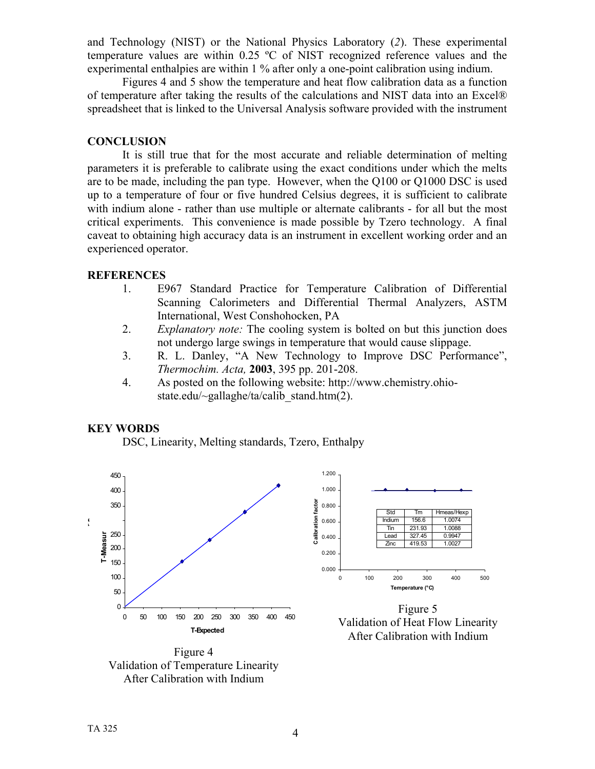and Technology (NIST) or the National Physics Laboratory (*2*). These experimental temperature values are within 0.25 ºC of NIST recognized reference values and the experimental enthalpies are within 1 % after only a one-point calibration using indium.

Figures 4 and 5 show the temperature and heat flow calibration data as a function of temperature after taking the results of the calculations and NIST data into an Excel® spreadsheet that is linked to the Universal Analysis software provided with the instrument

## **CONCLUSION**

It is still true that for the most accurate and reliable determination of melting parameters it is preferable to calibrate using the exact conditions under which the melts are to be made, including the pan type. However, when the Q100 or Q1000 DSC is used up to a temperature of four or five hundred Celsius degrees, it is sufficient to calibrate with indium alone - rather than use multiple or alternate calibrants - for all but the most critical experiments. This convenience is made possible by Tzero technology. A final caveat to obtaining high accuracy data is an instrument in excellent working order and an experienced operator.

### **REFERENCES**

- 1. E967 Standard Practice for Temperature Calibration of Differential Scanning Calorimeters and Differential Thermal Analyzers, ASTM International, West Conshohocken, PA
- 2. *Explanatory note:* The cooling system is bolted on but this junction does not undergo large swings in temperature that would cause slippage.
- 3. R. L. Danley, "A New Technology to Improve DSC Performance", *Thermochim. Acta,* **2003**, 395 pp. 201-208.
- 4. As posted on the following website: [http://www.chemistry.ohio](http://www.chemistry.ohio-state.edu/~gallaghe/ta/calib_stand.htm(2)[state.edu/~gallaghe/ta/calib\\_stand.htm\(2](http://www.chemistry.ohio-state.edu/~gallaghe/ta/calib_stand.htm(2)).

# **KEY WORDS**

DSC, Linearity, Melting standards, Tzero, Enthalpy



Figure 4 Validation of Temperature Linearity After Calibration with Indium